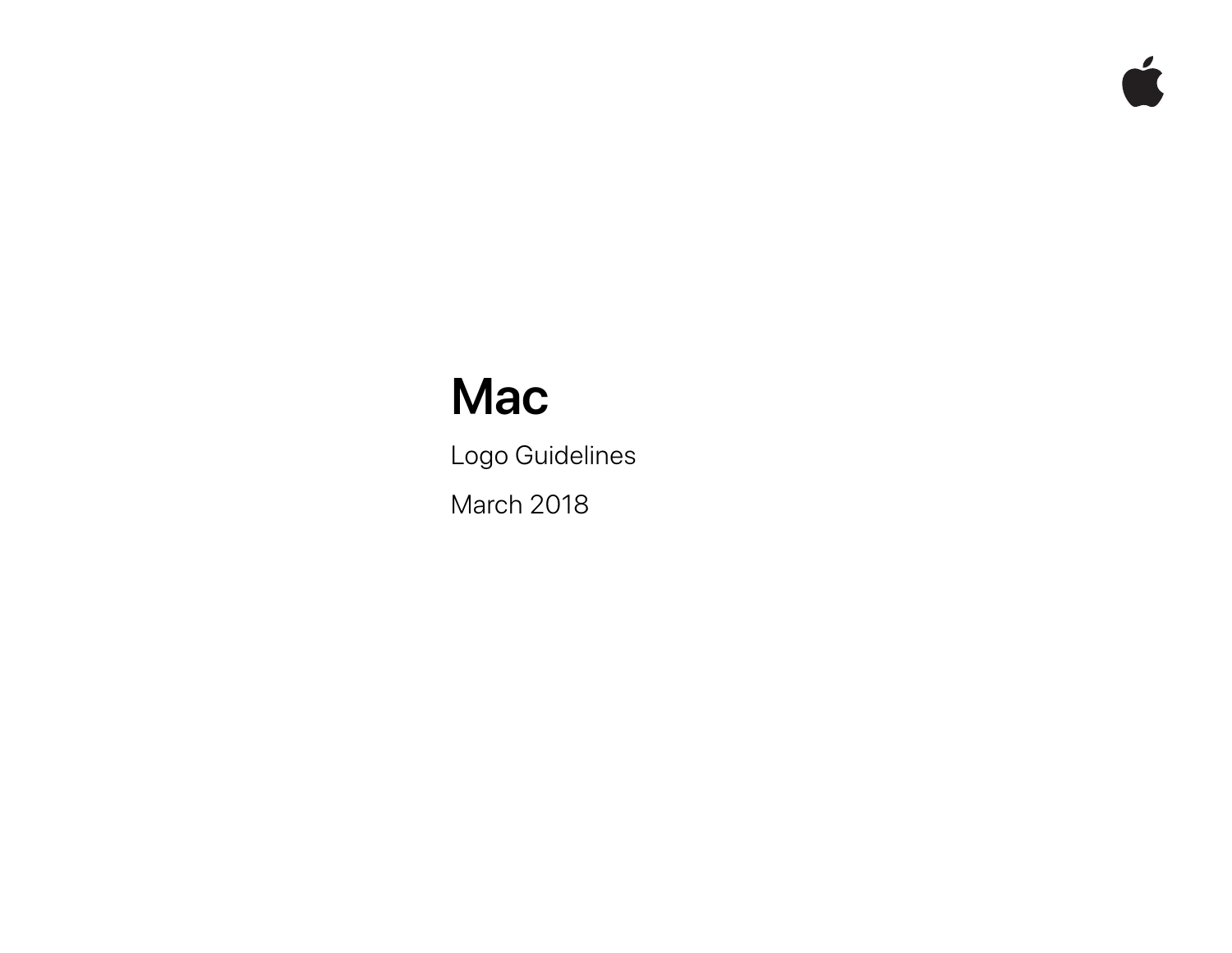# **Mac**

Logo Guidelines

 $\frac{1}{2}$ 

March 2018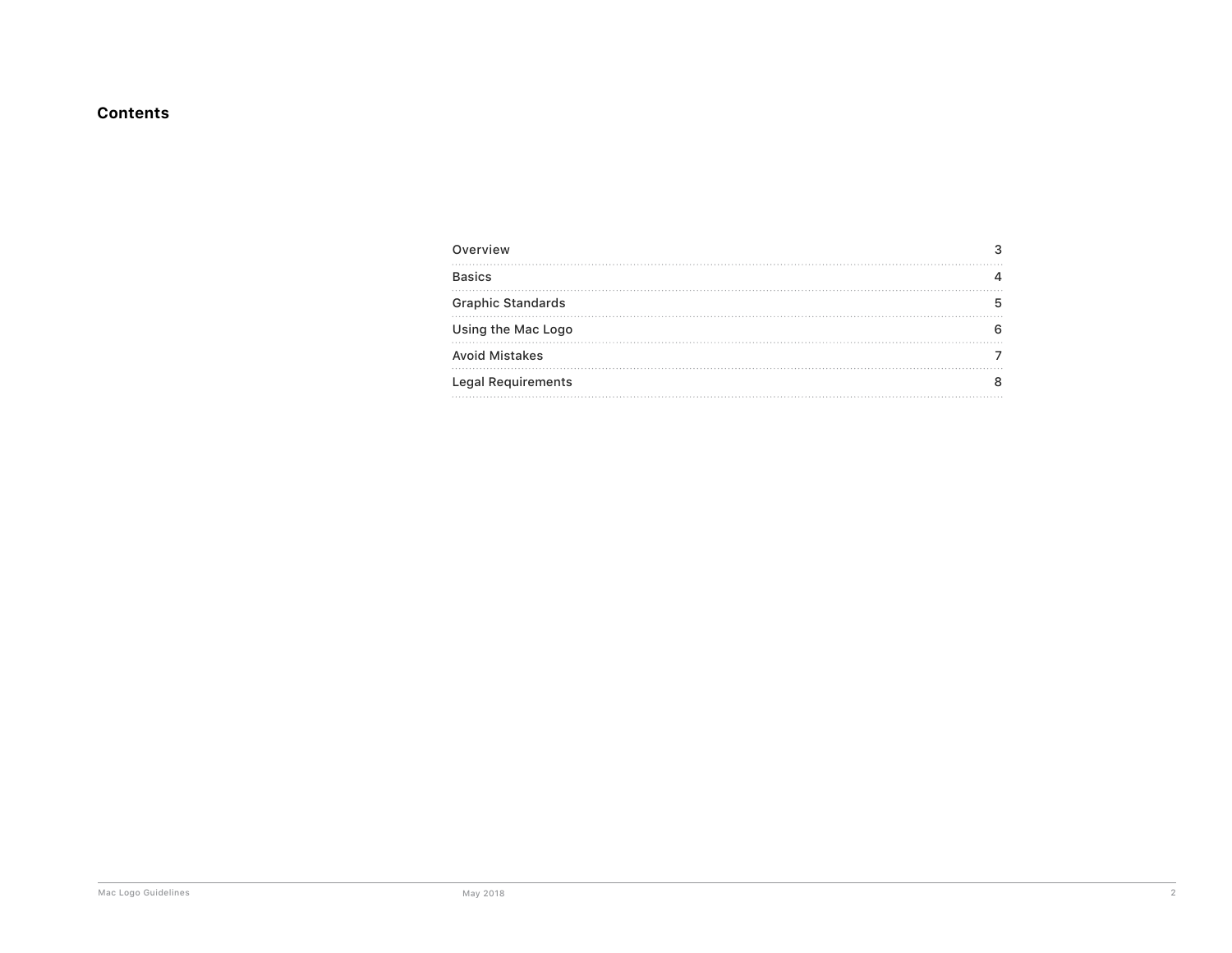## **Contents**

| Overview                  |  |
|---------------------------|--|
| <b>Basics</b>             |  |
| <b>Graphic Standards</b>  |  |
| Using the Mac Logo        |  |
| <b>Avoid Mistakes</b>     |  |
| <b>Legal Requirements</b> |  |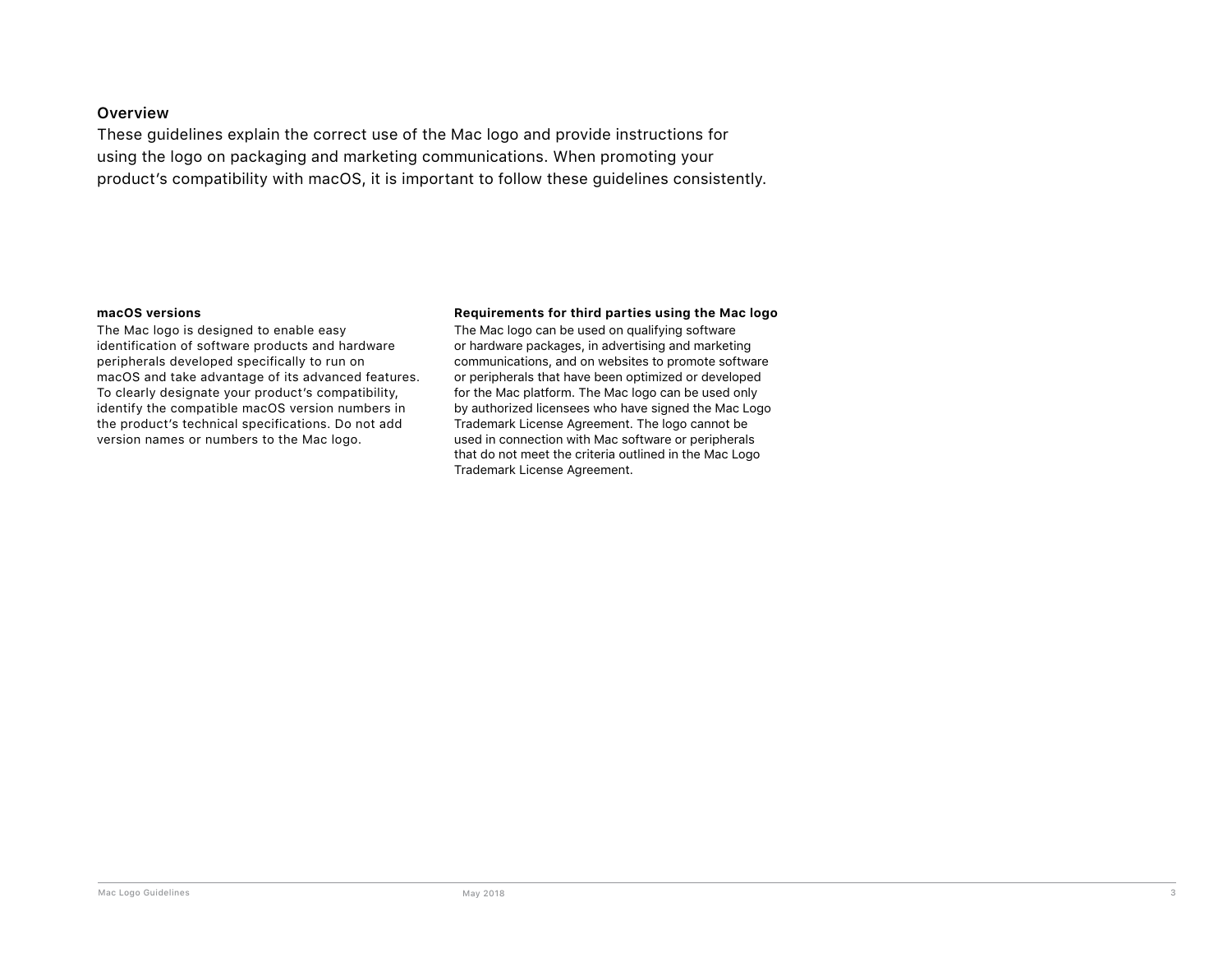### <span id="page-2-0"></span>**Overview**

These guidelines explain the correct use of the Mac logo and provide instructions for using the logo on packaging and marketing communications. When promoting your product's compatibility with macOS, it is important to follow these guidelines consistently.

#### **macOS versions**

The Mac logo is designed to enable easy identification of software products and hardware peripherals developed specifically to run on macOS and take advantage of its advanced features. To clearly designate your product's compatibility, identify the compatible macOS version numbers in the product's technical specifications. Do not add version names or numbers to the Mac logo.

#### **Requirements for third parties using the Mac logo**

The Mac logo can be used on qualifying software or hardware packages, in advertising and marketing communications, and on websites to promote software or peripherals that have been optimized or developed for the Mac platform. The Mac logo can be used only by authorized licensees who have signed the Mac Logo Trademark License Agreement. The logo cannot be used in connection with Mac software or peripherals that do not meet the criteria outlined in the Mac Logo Trademark License Agreement.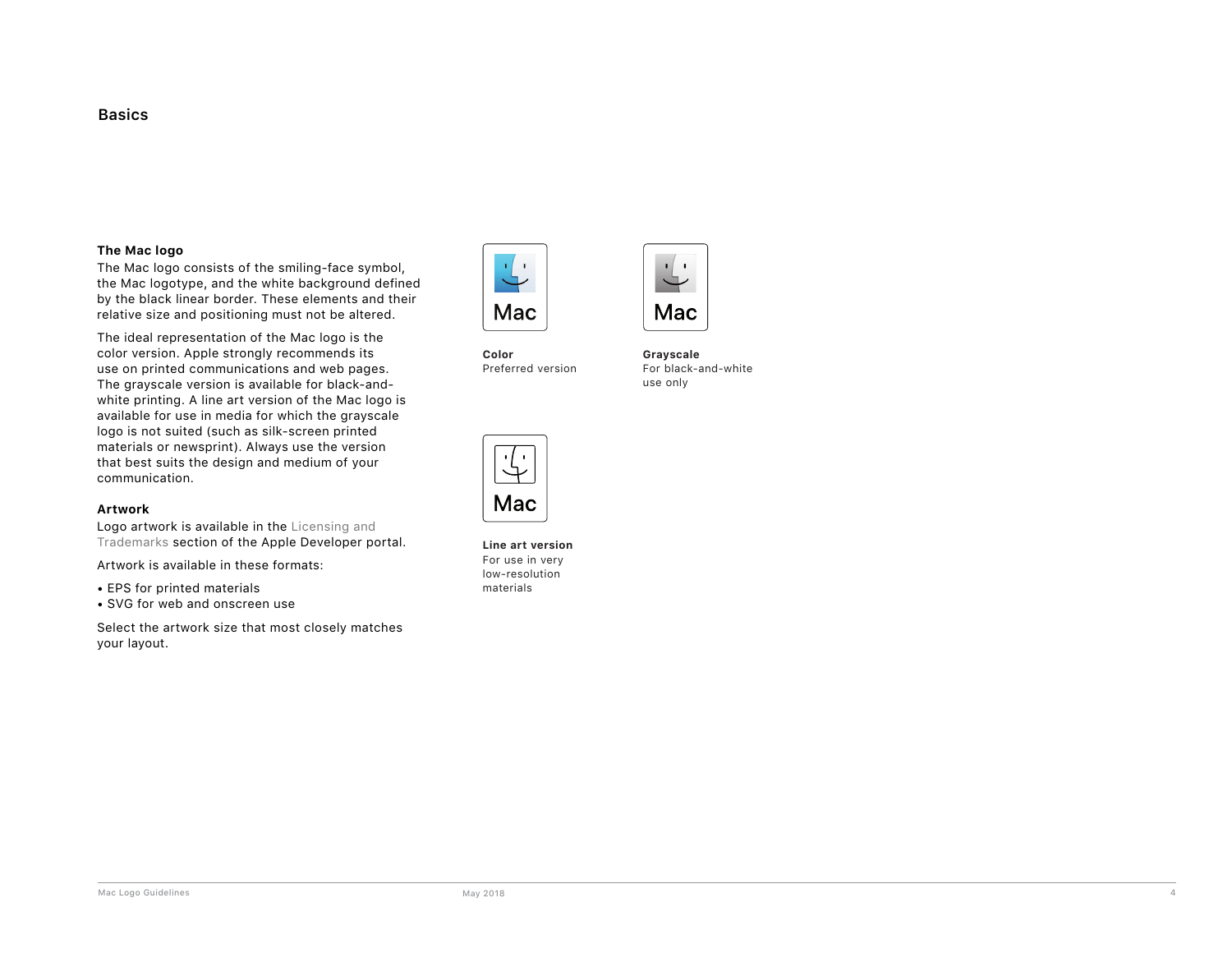### <span id="page-3-0"></span>**Basics**

#### **The Mac logo**

The Mac logo consists of the smiling-face symbol, the Mac logotype, and the white background defined by the black linear border. These elements and their relative size and positioning must not be altered.

The ideal representation of the Mac logo is the color version. Apple strongly recommends its use on printed communications and web pages. The grayscale version is available for black-andwhite printing. A line art version of the Mac logo is available for use in media for which the grayscale logo is not suited (such as silk-screen printed materials or newsprint). Always use the version that best suits the design and medium of your communication.

#### **Artwork**

Logo artwork is available in the [Licensing and](https://developer.apple.com/softwarelicensing/agreements/maclogo.php)  [Trademarks](https://developer.apple.com/softwarelicensing/agreements/maclogo.php) section of the Apple Developer portal.

Artwork is available in these formats:

- EPS for printed materials
- SVG for web and onscreen use

Select the artwork size that most closely matches your layout.



**Color** Preferred version



**Grayscale** For black-and-white use only



**Line art version** For use in very low-resolution materials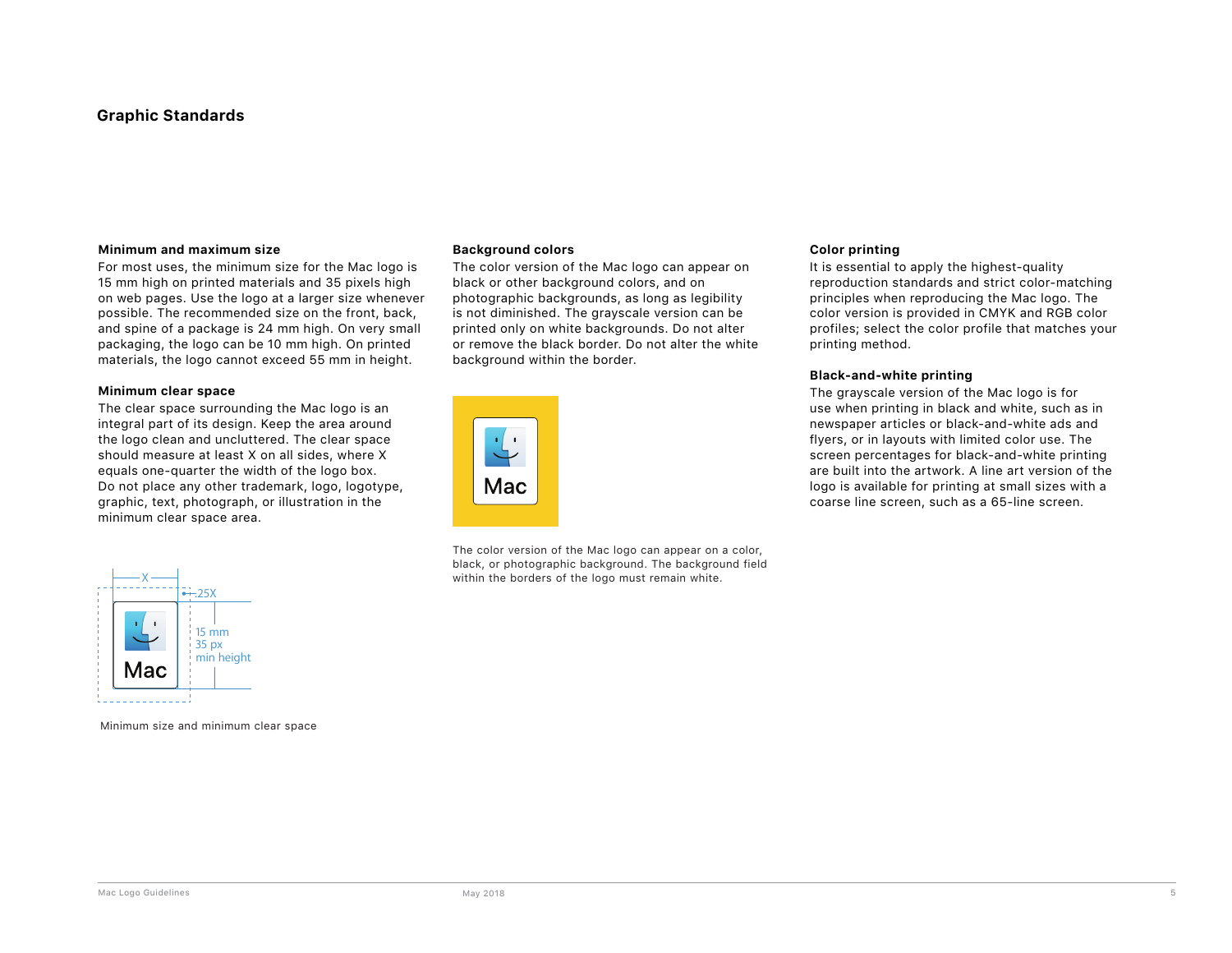### <span id="page-4-0"></span>**Graphic Standards**

#### **Minimum and maximum size**

For most uses, the minimum size for the Mac logo is 15 mm high on printed materials and 35 pixels high on web pages. Use the logo at a larger size whenever possible. The recommended size on the front, back, and spine of a package is 24 mm high. On very small packaging, the logo can be 10 mm high. On printed materials, the logo cannot exceed 55 mm in height.

#### **Minimum clear space**

The clear space surrounding the Mac logo is an integral part of its design. Keep the area around the logo clean and uncluttered. The clear space should measure at least X on all sides, where X equals one-quarter the width of the logo box. Do not place any other trademark, logo, logotype, graphic, text, photograph, or illustration in the minimum clear space area.

#### **Background colors**

The color version of the Mac logo can appear on black or other background colors, and on photographic backgrounds, as long as legibility is not diminished. The grayscale version can be printed only on white backgrounds. Do not alter or remove the black border. Do not alter the white background within the border.



The color version of the Mac logo can appear on a color, black, or photographic background. The background field within the borders of the logo must remain white.

#### **Color printing**

It is essential to apply the highest-quality reproduction standards and strict color-matching principles when reproducing the Mac logo. The color version is provided in CMYK and RGB color profiles; select the color profile that matches your printing method.

#### **Black-and-white printing**

The grayscale version of the Mac logo is for use when printing in black and white, such as in newspaper articles or black-and-white ads and flyers, or in layouts with limited color use. The screen percentages for black-and-white printing are built into the artwork. A line art version of the logo is available for printing at small sizes with a coarse line screen, such as a 65-line screen.



Minimum size and minimum clear space

Mac Logo Guidelines May 2018 5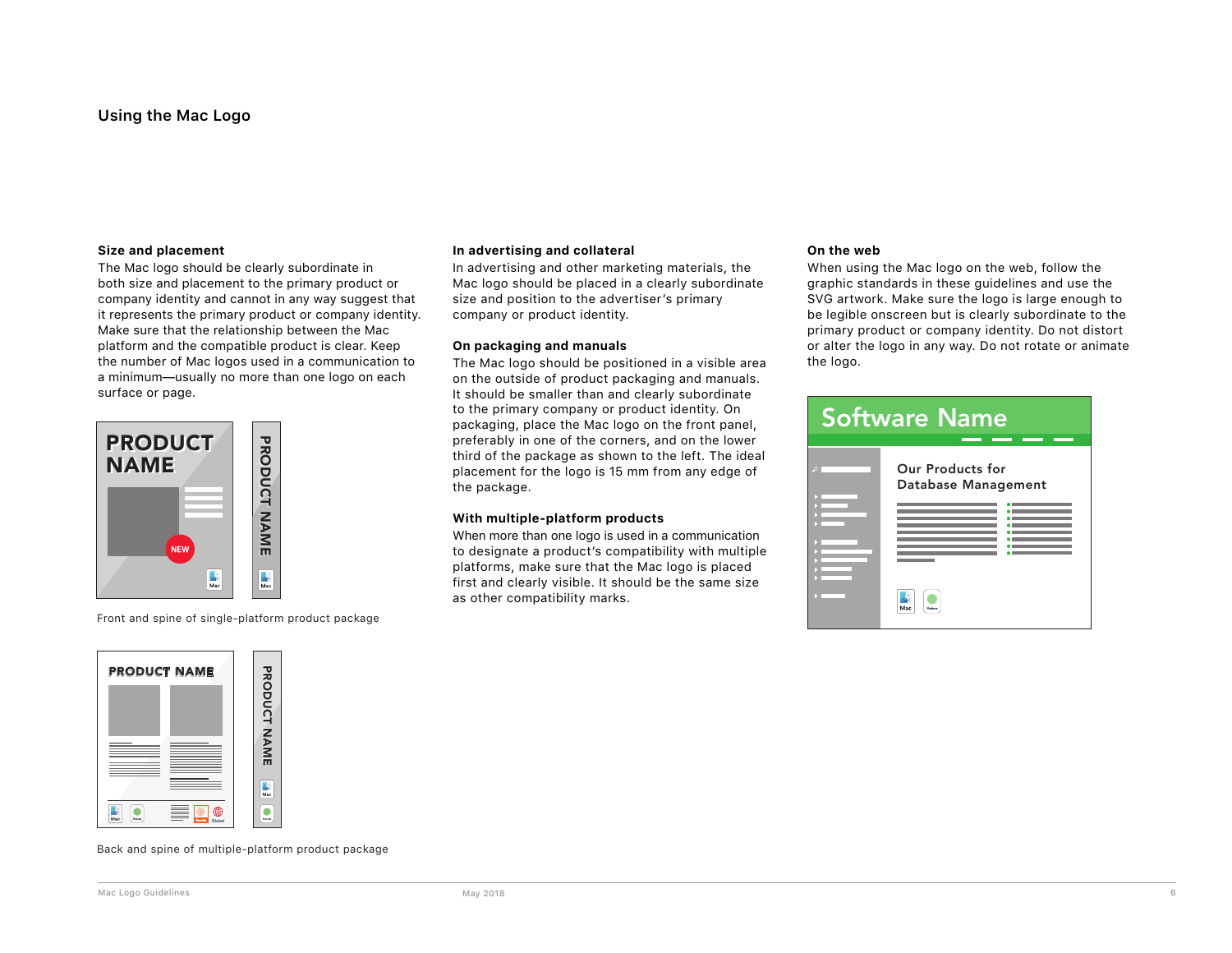#### <span id="page-5-0"></span>**Size and placement**

The Mac logo should be clearly subordinate in both size and placement to the primary product or company identity and cannot in any way suggest that it represents the primary product or company identity. Make sure that the relationship between the Mac platform and the compatible product is clear. Keep the number of Mac logos used in a communication to a minimum—usually no more than one logo on each surface or page.



Front and spine of single-platform product package

PRODUCT NAME

Mac

**PRODUCT NAME** 

# PRODUCT NAME $\bigcirc$  $\bigcirc$

Back and spine of multiple-platform product package

# **In advertising and collateral**

In advertising and other marketing materials, the Mac logo should be placed in a clearly subordinate size and position to the advertiser's primary company or product identity.

#### **On packaging and manuals**

The Mac logo should be positioned in a visible area on the outside of product packaging and manuals. It should be smaller than and clearly subordinate to the primary company or product identity. On packaging, place the Mac logo on the front panel, preferably in one of the corners, and on the lower third of the package as shown to the left. The ideal placement for the logo is 15 mm from any edge of the package.

#### **With multiple-platform products**

When more than one logo is used in a communication to designate a product's compatibility with multiple platforms, make sure that the Mac logo is placed first and clearly visible. It should be the same size as other compatibility marks.

#### **On the web**

When using the Mac logo on the web, follow the graphic standards in these guidelines and use the SVG artwork. Make sure the logo is large enough to be legible onscreen but is clearly subordinate to the primary product or company identity. Do not distort or alter the logo in any way. Do not rotate or animate the logo.

| <b>Software Name</b> |                                                       |  |
|----------------------|-------------------------------------------------------|--|
| O                    | <b>Our Products for</b><br>Database Management<br>Mac |  |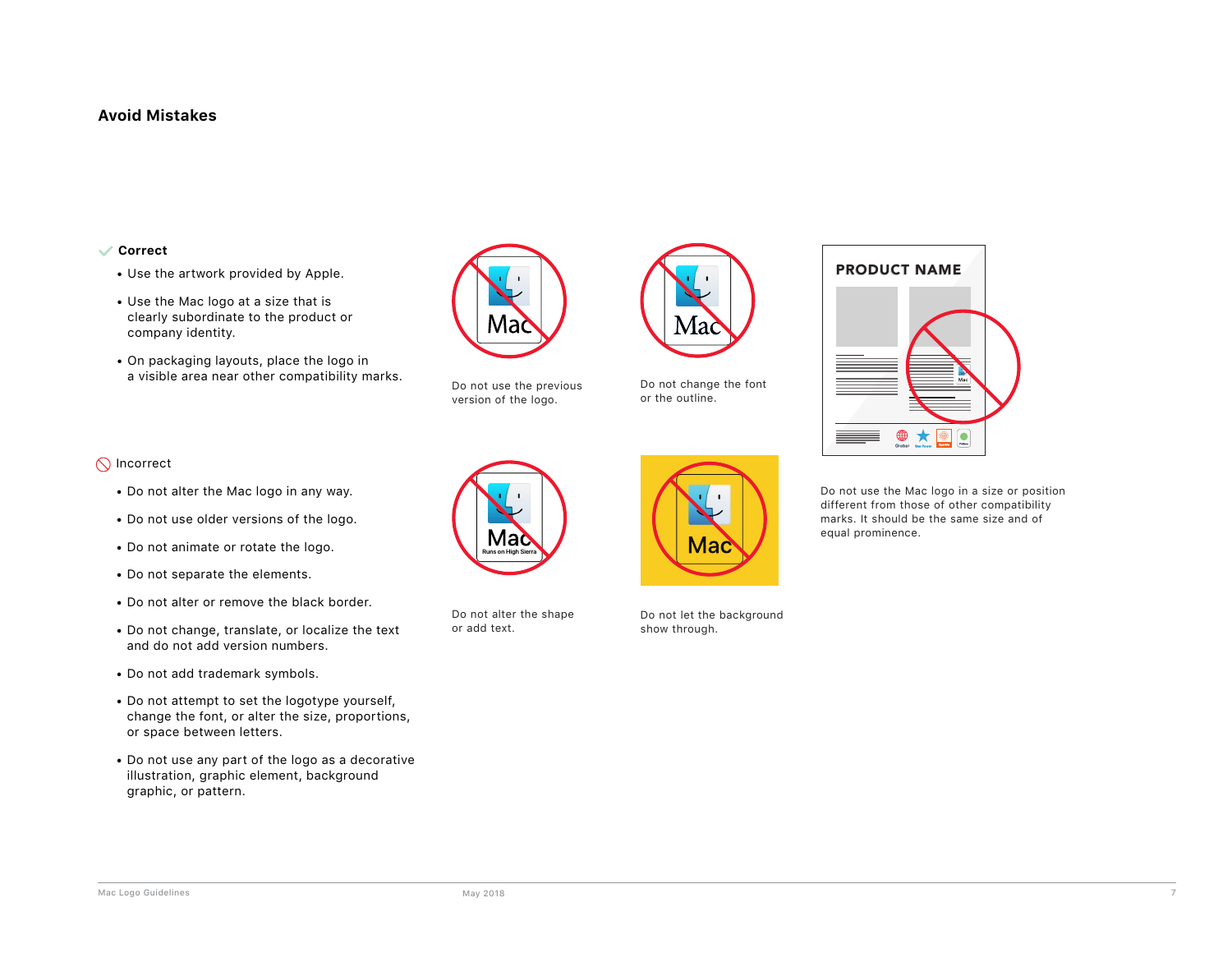### <span id="page-6-0"></span>**Avoid Mistakes**

# **Correct ✓**

- Use the artwork provided by Apple.
- Use the Mac logo at a size that is clearly subordinate to the product or company identity.
- On packaging layouts, place the logo in a visible area near other compatibility marks.



Do not use the previous version of the logo.



Do not change the font or the outline.



 $\bigcirc$  Incorrect

- Do not alter the Mac logo in any way.
- Do not use older versions of the logo.
- Do not animate or rotate the logo.
- Do not separate the elements.
- Do not alter or remove the black border.
- Do not change, translate, or localize the text and do not add version numbers.
- Do not add trademark symbols.
- Do not attempt to set the logotype yourself, change the font, or alter the size, proportions, or space between letters.
- Do not use any part of the logo as a decorative illustration, graphic element, background graphic, or pattern.



Do not alter the shape or add text.



Do not let the background show through.

Do not use the Mac logo in a size or position different from those of other compatibility marks. It should be the same size and of equal prominence.